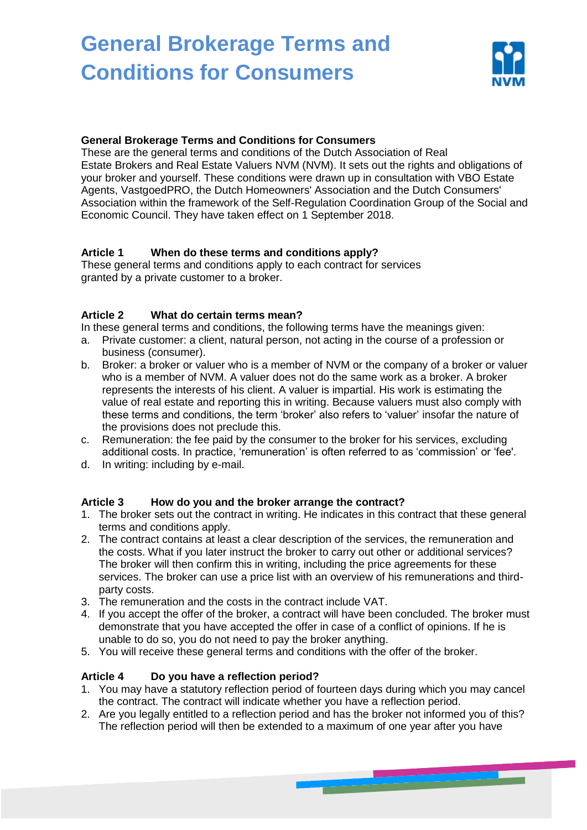

### **General Brokerage Terms and Conditions for Consumers**

These are the general terms and conditions of the Dutch Association of Real Estate Brokers and Real Estate Valuers NVM (NVM). It sets out the rights and obligations of your broker and yourself. These conditions were drawn up in consultation with VBO Estate Agents, VastgoedPRO, the Dutch Homeowners' Association and the Dutch Consumers' Association within the framework of the Self-Regulation Coordination Group of the Social and Economic Council. They have taken effect on 1 September 2018.

## **Article 1 When do these terms and conditions apply?**

These general terms and conditions apply to each contract for services granted by a private customer to a broker.

### **Article 2 What do certain terms mean?**

In these general terms and conditions, the following terms have the meanings given:

- a. Private customer: a client, natural person, not acting in the course of a profession or business (consumer).
- b. Broker: a broker or valuer who is a member of NVM or the company of a broker or valuer who is a member of NVM. A valuer does not do the same work as a broker. A broker represents the interests of his client. A valuer is impartial. His work is estimating the value of real estate and reporting this in writing. Because valuers must also comply with these terms and conditions, the term 'broker' also refers to 'valuer' insofar the nature of the provisions does not preclude this.
- c. Remuneration: the fee paid by the consumer to the broker for his services, excluding additional costs. In practice, 'remuneration' is often referred to as 'commission' or 'fee'.
- d. In writing: including by e-mail.

## **Article 3 How do you and the broker arrange the contract?**

- 1. The broker sets out the contract in writing. He indicates in this contract that these general terms and conditions apply.
- 2. The contract contains at least a clear description of the services, the remuneration and the costs. What if you later instruct the broker to carry out other or additional services? The broker will then confirm this in writing, including the price agreements for these services. The broker can use a price list with an overview of his remunerations and thirdparty costs.
- 3. The remuneration and the costs in the contract include VAT.
- 4. If you accept the offer of the broker, a contract will have been concluded. The broker must demonstrate that you have accepted the offer in case of a conflict of opinions. If he is unable to do so, you do not need to pay the broker anything.
- 5. You will receive these general terms and conditions with the offer of the broker.

## **Article 4 Do you have a reflection period?**

- 1. You may have a statutory reflection period of fourteen days during which you may cancel the contract. The contract will indicate whether you have a reflection period.
- 2. Are you legally entitled to a reflection period and has the broker not informed you of this? The reflection period will then be extended to a maximum of one year after you have

**CONTRACTOR** IN THE VEHICLE IS NOT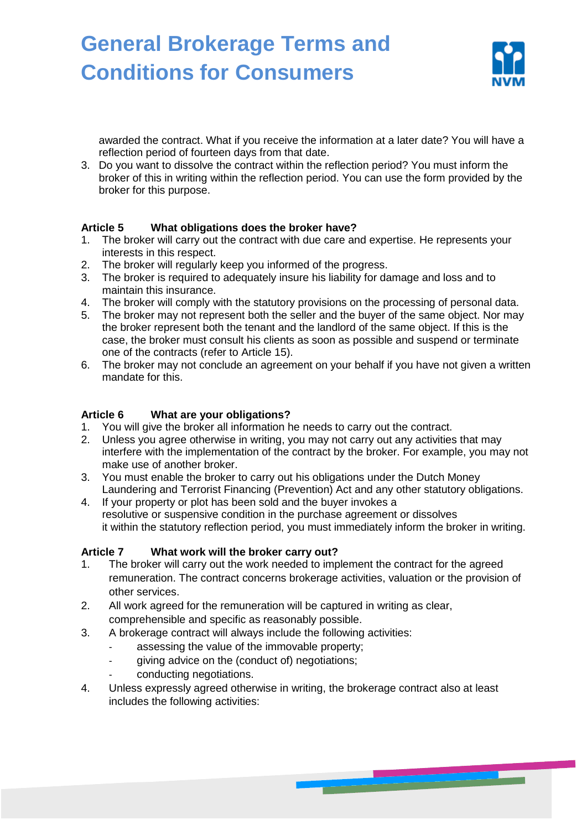

awarded the contract. What if you receive the information at a later date? You will have a reflection period of fourteen days from that date.

3. Do you want to dissolve the contract within the reflection period? You must inform the broker of this in writing within the reflection period. You can use the form provided by the broker for this purpose.

## **Article 5 What obligations does the broker have?**

- 1. The broker will carry out the contract with due care and expertise. He represents your interests in this respect.
- 2. The broker will regularly keep you informed of the progress.
- 3. The broker is required to adequately insure his liability for damage and loss and to maintain this insurance.
- 4. The broker will comply with the statutory provisions on the processing of personal data.
- 5. The broker may not represent both the seller and the buyer of the same object. Nor may the broker represent both the tenant and the landlord of the same object. If this is the case, the broker must consult his clients as soon as possible and suspend or terminate one of the contracts (refer to Article 15).
- 6. The broker may not conclude an agreement on your behalf if you have not given a written mandate for this.

### **Article 6 What are your obligations?**

- 1. You will give the broker all information he needs to carry out the contract.
- 2. Unless you agree otherwise in writing, you may not carry out any activities that may interfere with the implementation of the contract by the broker. For example, you may not make use of another broker.
- 3. You must enable the broker to carry out his obligations under the Dutch Money Laundering and Terrorist Financing (Prevention) Act and any other statutory obligations.
- 4. If your property or plot has been sold and the buyer invokes a resolutive or suspensive condition in the purchase agreement or dissolves it within the statutory reflection period, you must immediately inform the broker in writing.

#### **Article 7 What work will the broker carry out?**

- 1. The broker will carry out the work needed to implement the contract for the agreed remuneration. The contract concerns brokerage activities, valuation or the provision of other services.
- 2. All work agreed for the remuneration will be captured in writing as clear, comprehensible and specific as reasonably possible.
- 3. A brokerage contract will always include the following activities:
	- assessing the value of the immovable property;
	- giving advice on the (conduct of) negotiations;
	- conducting negotiations.
- 4. Unless expressly agreed otherwise in writing, the brokerage contract also at least includes the following activities: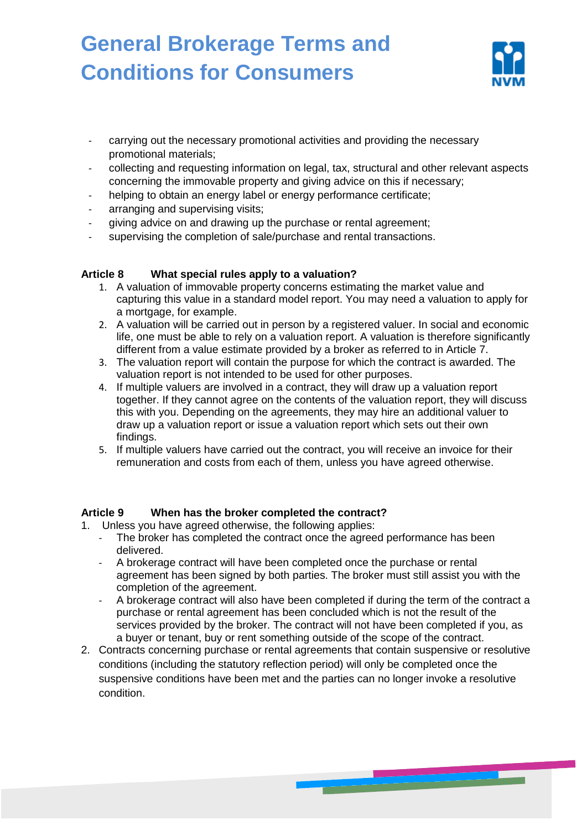

- carrying out the necessary promotional activities and providing the necessary promotional materials;
- collecting and requesting information on legal, tax, structural and other relevant aspects concerning the immovable property and giving advice on this if necessary;
- helping to obtain an energy label or energy performance certificate;
- arranging and supervising visits;
- giving advice on and drawing up the purchase or rental agreement;
- supervising the completion of sale/purchase and rental transactions.

### **Article 8 What special rules apply to a valuation?**

- 1. A valuation of immovable property concerns estimating the market value and capturing this value in a standard model report. You may need a valuation to apply for a mortgage, for example.
- 2. A valuation will be carried out in person by a registered valuer. In social and economic life, one must be able to rely on a valuation report. A valuation is therefore significantly different from a value estimate provided by a broker as referred to in Article 7.
- 3. The valuation report will contain the purpose for which the contract is awarded. The valuation report is not intended to be used for other purposes.
- 4. If multiple valuers are involved in a contract, they will draw up a valuation report together. If they cannot agree on the contents of the valuation report, they will discuss this with you. Depending on the agreements, they may hire an additional valuer to draw up a valuation report or issue a valuation report which sets out their own findings.
- 5. If multiple valuers have carried out the contract, you will receive an invoice for their remuneration and costs from each of them, unless you have agreed otherwise.

#### **Article 9 When has the broker completed the contract?**

- 1. Unless you have agreed otherwise, the following applies:
	- The broker has completed the contract once the agreed performance has been delivered.
	- A brokerage contract will have been completed once the purchase or rental agreement has been signed by both parties. The broker must still assist you with the completion of the agreement.
	- A brokerage contract will also have been completed if during the term of the contract a purchase or rental agreement has been concluded which is not the result of the services provided by the broker. The contract will not have been completed if you, as a buyer or tenant, buy or rent something outside of the scope of the contract.
- 2. Contracts concerning purchase or rental agreements that contain suspensive or resolutive conditions (including the statutory reflection period) will only be completed once the suspensive conditions have been met and the parties can no longer invoke a resolutive condition.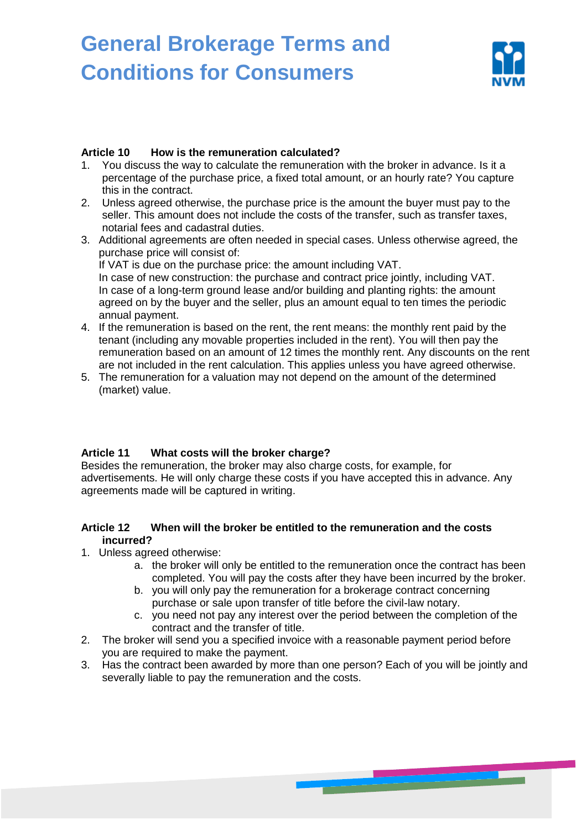

#### **Article 10 How is the remuneration calculated?**

- 1. You discuss the way to calculate the remuneration with the broker in advance. Is it a percentage of the purchase price, a fixed total amount, or an hourly rate? You capture this in the contract.
- 2. Unless agreed otherwise, the purchase price is the amount the buyer must pay to the seller. This amount does not include the costs of the transfer, such as transfer taxes, notarial fees and cadastral duties.
- 3. Additional agreements are often needed in special cases. Unless otherwise agreed, the purchase price will consist of: If VAT is due on the purchase price: the amount including VAT. In case of new construction: the purchase and contract price jointly, including VAT. In case of a long-term ground lease and/or building and planting rights: the amount agreed on by the buyer and the seller, plus an amount equal to ten times the periodic annual payment.
- 4. If the remuneration is based on the rent, the rent means: the monthly rent paid by the tenant (including any movable properties included in the rent). You will then pay the remuneration based on an amount of 12 times the monthly rent. Any discounts on the rent are not included in the rent calculation. This applies unless you have agreed otherwise.
- 5. The remuneration for a valuation may not depend on the amount of the determined (market) value.

#### **Article 11 What costs will the broker charge?**

Besides the remuneration, the broker may also charge costs, for example, for advertisements. He will only charge these costs if you have accepted this in advance. Any agreements made will be captured in writing.

#### **Article 12 When will the broker be entitled to the remuneration and the costs incurred?**

- 1. Unless agreed otherwise:
	- a. the broker will only be entitled to the remuneration once the contract has been completed. You will pay the costs after they have been incurred by the broker.
	- b. you will only pay the remuneration for a brokerage contract concerning purchase or sale upon transfer of title before the civil-law notary.
	- c. you need not pay any interest over the period between the completion of the contract and the transfer of title.

- 2. The broker will send you a specified invoice with a reasonable payment period before you are required to make the payment.
- 3. Has the contract been awarded by more than one person? Each of you will be jointly and severally liable to pay the remuneration and the costs.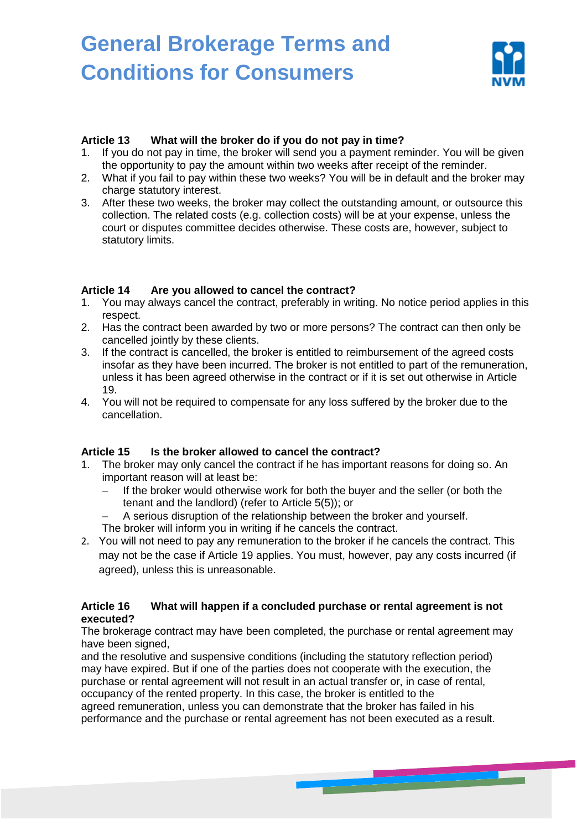

#### **Article 13 What will the broker do if you do not pay in time?**

- 1. If you do not pay in time, the broker will send you a payment reminder. You will be given the opportunity to pay the amount within two weeks after receipt of the reminder.
- 2. What if you fail to pay within these two weeks? You will be in default and the broker may charge statutory interest.
- 3. After these two weeks, the broker may collect the outstanding amount, or outsource this collection. The related costs (e.g. collection costs) will be at your expense, unless the court or disputes committee decides otherwise. These costs are, however, subject to statutory limits.

#### **Article 14 Are you allowed to cancel the contract?**

- 1. You may always cancel the contract, preferably in writing. No notice period applies in this respect.
- 2. Has the contract been awarded by two or more persons? The contract can then only be cancelled jointly by these clients.
- 3. If the contract is cancelled, the broker is entitled to reimbursement of the agreed costs insofar as they have been incurred. The broker is not entitled to part of the remuneration, unless it has been agreed otherwise in the contract or if it is set out otherwise in Article 19.
- 4. You will not be required to compensate for any loss suffered by the broker due to the cancellation.

## **Article 15 Is the broker allowed to cancel the contract?**

- 1. The broker may only cancel the contract if he has important reasons for doing so. An important reason will at least be:
	- If the broker would otherwise work for both the buyer and the seller (or both the tenant and the landlord) (refer to Article 5(5)); or
	- A serious disruption of the relationship between the broker and yourself.
	- The broker will inform you in writing if he cancels the contract.
- 2. You will not need to pay any remuneration to the broker if he cancels the contract. This may not be the case if Article 19 applies. You must, however, pay any costs incurred (if agreed), unless this is unreasonable.

#### **Article 16 What will happen if a concluded purchase or rental agreement is not executed?**

The brokerage contract may have been completed, the purchase or rental agreement may have been signed,

and the resolutive and suspensive conditions (including the statutory reflection period) may have expired. But if one of the parties does not cooperate with the execution, the purchase or rental agreement will not result in an actual transfer or, in case of rental, occupancy of the rented property. In this case, the broker is entitled to the agreed remuneration, unless you can demonstrate that the broker has failed in his performance and the purchase or rental agreement has not been executed as a result.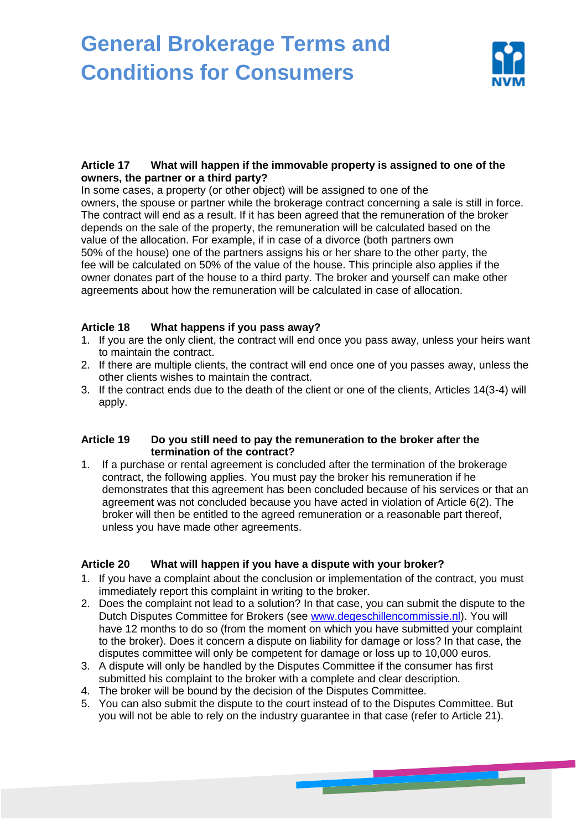

### **Article 17 What will happen if the immovable property is assigned to one of the owners, the partner or a third party?**

In some cases, a property (or other object) will be assigned to one of the owners, the spouse or partner while the brokerage contract concerning a sale is still in force. The contract will end as a result. If it has been agreed that the remuneration of the broker depends on the sale of the property, the remuneration will be calculated based on the value of the allocation. For example, if in case of a divorce (both partners own 50% of the house) one of the partners assigns his or her share to the other party, the fee will be calculated on 50% of the value of the house. This principle also applies if the owner donates part of the house to a third party. The broker and yourself can make other agreements about how the remuneration will be calculated in case of allocation.

### **Article 18 What happens if you pass away?**

- 1. If you are the only client, the contract will end once you pass away, unless your heirs want to maintain the contract.
- 2. If there are multiple clients, the contract will end once one of you passes away, unless the other clients wishes to maintain the contract.
- 3. If the contract ends due to the death of the client or one of the clients, Articles 14(3-4) will apply.

#### **Article 19 Do you still need to pay the remuneration to the broker after the termination of the contract?**

1. If a purchase or rental agreement is concluded after the termination of the brokerage contract, the following applies. You must pay the broker his remuneration if he demonstrates that this agreement has been concluded because of his services or that an agreement was not concluded because you have acted in violation of Article 6(2). The broker will then be entitled to the agreed remuneration or a reasonable part thereof, unless you have made other agreements.

## **Article 20 What will happen if you have a dispute with your broker?**

- 1. If you have a complaint about the conclusion or implementation of the contract, you must immediately report this complaint in writing to the broker.
- 2. Does the complaint not lead to a solution? In that case, you can submit the dispute to the Dutch Disputes Committee for Brokers (see [www.degeschillencommissie.nl\)](http://www.degeschillencommissie.nl/). You will have 12 months to do so (from the moment on which you have submitted your complaint to the broker). Does it concern a dispute on liability for damage or loss? In that case, the disputes committee will only be competent for damage or loss up to 10,000 euros.
- 3. A dispute will only be handled by the Disputes Committee if the consumer has first submitted his complaint to the broker with a complete and clear description.
- 4. The broker will be bound by the decision of the Disputes Committee.
- 5. You can also submit the dispute to the court instead of to the Disputes Committee. But you will not be able to rely on the industry guarantee in that case (refer to Article 21).

**CONTINUES OF REAL PROPERTY AND**